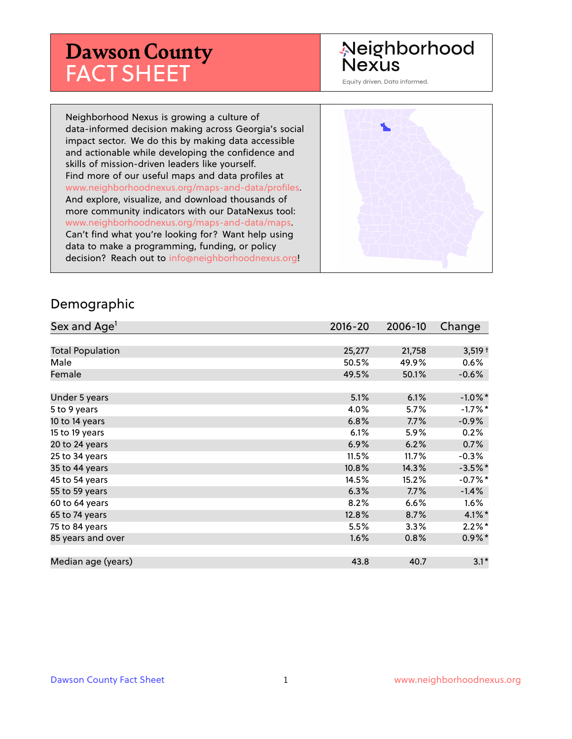# **Dawson County** FACT SHEET

## Neighborhood **Nexus**

Equity driven. Data informed.

Neighborhood Nexus is growing a culture of data-informed decision making across Georgia's social impact sector. We do this by making data accessible and actionable while developing the confidence and skills of mission-driven leaders like yourself. Find more of our useful maps and data profiles at www.neighborhoodnexus.org/maps-and-data/profiles. And explore, visualize, and download thousands of more community indicators with our DataNexus tool: www.neighborhoodnexus.org/maps-and-data/maps. Can't find what you're looking for? Want help using data to make a programming, funding, or policy decision? Reach out to [info@neighborhoodnexus.org!](mailto:info@neighborhoodnexus.org)



#### Demographic

| Sex and Age <sup>1</sup> | $2016 - 20$ | 2006-10 | Change     |
|--------------------------|-------------|---------|------------|
|                          |             |         |            |
| <b>Total Population</b>  | 25,277      | 21,758  | $3,519+$   |
| Male                     | 50.5%       | 49.9%   | $0.6\%$    |
| Female                   | 49.5%       | 50.1%   | $-0.6%$    |
|                          |             |         |            |
| Under 5 years            | 5.1%        | 6.1%    | $-1.0\%$ * |
| 5 to 9 years             | 4.0%        | $5.7\%$ | $-1.7%$ *  |
| 10 to 14 years           | 6.8%        | 7.7%    | $-0.9\%$   |
| 15 to 19 years           | 6.1%        | 5.9%    | 0.2%       |
| 20 to 24 years           | 6.9%        | 6.2%    | 0.7%       |
| 25 to 34 years           | 11.5%       | 11.7%   | $-0.3%$    |
| 35 to 44 years           | 10.8%       | 14.3%   | $-3.5\%$ * |
| 45 to 54 years           | 14.5%       | 15.2%   | $-0.7%$ *  |
| 55 to 59 years           | 6.3%        | 7.7%    | $-1.4%$    |
| 60 to 64 years           | 8.2%        | 6.6%    | $1.6\%$    |
| 65 to 74 years           | 12.8%       | 8.7%    | $4.1\%$ *  |
| 75 to 84 years           | 5.5%        | $3.3\%$ | $2.2\%$ *  |
| 85 years and over        | 1.6%        | 0.8%    | $0.9\% *$  |
|                          |             |         |            |
| Median age (years)       | 43.8        | 40.7    | $3.1*$     |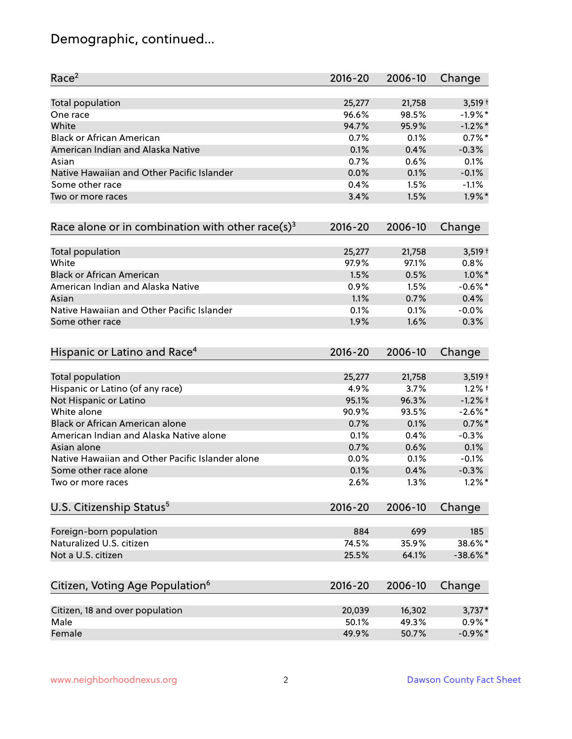## Demographic, continued...

| Race <sup>2</sup>                                            | $2016 - 20$ | 2006-10 | Change      |
|--------------------------------------------------------------|-------------|---------|-------------|
| <b>Total population</b>                                      | 25,277      | 21,758  | $3,519+$    |
| One race                                                     | 96.6%       | 98.5%   | $-1.9%$ *   |
| White                                                        | 94.7%       | 95.9%   | $-1.2\%$ *  |
| <b>Black or African American</b>                             | 0.7%        | 0.1%    | $0.7%$ *    |
| American Indian and Alaska Native                            | 0.1%        | 0.4%    | $-0.3%$     |
| Asian                                                        | 0.7%        | 0.6%    | 0.1%        |
| Native Hawaiian and Other Pacific Islander                   | 0.0%        | 0.1%    | $-0.1%$     |
| Some other race                                              | 0.4%        | 1.5%    | $-1.1%$     |
| Two or more races                                            | 3.4%        | 1.5%    | $1.9\%$ *   |
| Race alone or in combination with other race(s) <sup>3</sup> | $2016 - 20$ | 2006-10 | Change      |
| Total population                                             | 25,277      | 21,758  | $3,519+$    |
| White                                                        | 97.9%       | 97.1%   | 0.8%        |
| <b>Black or African American</b>                             | 1.5%        | 0.5%    | $1.0\%$ *   |
| American Indian and Alaska Native                            | 0.9%        | 1.5%    | $-0.6%$ *   |
| Asian                                                        | 1.1%        | 0.7%    | 0.4%        |
| Native Hawaiian and Other Pacific Islander                   | 0.1%        | 0.1%    | $-0.0%$     |
| Some other race                                              | 1.9%        | 1.6%    | 0.3%        |
| Hispanic or Latino and Race <sup>4</sup>                     | $2016 - 20$ | 2006-10 | Change      |
| Total population                                             | 25,277      | 21,758  | $3,519+$    |
| Hispanic or Latino (of any race)                             | 4.9%        | 3.7%    | $1.2%$ †    |
| Not Hispanic or Latino                                       | 95.1%       | 96.3%   | $-1.2%$ †   |
| White alone                                                  | 90.9%       | 93.5%   | $-2.6%$ *   |
| Black or African American alone                              | 0.7%        | 0.1%    | $0.7\%$ *   |
| American Indian and Alaska Native alone                      | 0.1%        | 0.4%    | $-0.3%$     |
| Asian alone                                                  | 0.7%        | 0.6%    | 0.1%        |
| Native Hawaiian and Other Pacific Islander alone             | 0.0%        | 0.1%    | $-0.1%$     |
| Some other race alone                                        | 0.1%        | 0.4%    | $-0.3%$     |
| Two or more races                                            | 2.6%        | 1.3%    | $1.2\%$ *   |
| U.S. Citizenship Status <sup>5</sup>                         | $2016 - 20$ | 2006-10 | Change      |
| Foreign-born population                                      | 884         | 699     | 185         |
| Naturalized U.S. citizen                                     | 74.5%       | 35.9%   | 38.6%*      |
| Not a U.S. citizen                                           | 25.5%       | 64.1%   | $-38.6\%$ * |
| Citizen, Voting Age Population <sup>6</sup>                  | $2016 - 20$ | 2006-10 | Change      |
|                                                              |             |         |             |
| Citizen, 18 and over population                              | 20,039      | 16,302  | $3,737*$    |
| Male                                                         | 50.1%       | 49.3%   | $0.9\%*$    |
| Female                                                       | 49.9%       | 50.7%   | $-0.9\%$ *  |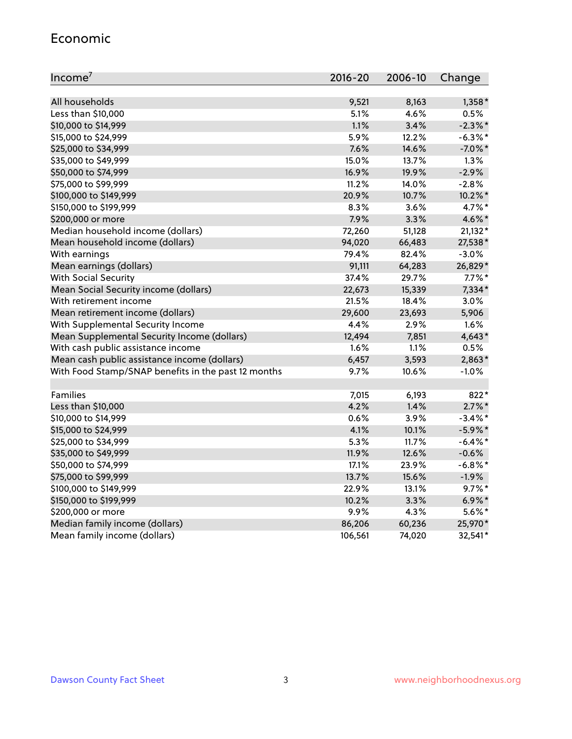#### Economic

| Income <sup>7</sup>                                 | $2016 - 20$ | 2006-10 | Change     |
|-----------------------------------------------------|-------------|---------|------------|
|                                                     |             |         |            |
| All households                                      | 9,521       | 8,163   | $1,358*$   |
| Less than \$10,000                                  | 5.1%        | 4.6%    | 0.5%       |
| \$10,000 to \$14,999                                | 1.1%        | 3.4%    | $-2.3\%$ * |
| \$15,000 to \$24,999                                | 5.9%        | 12.2%   | $-6.3\%$ * |
| \$25,000 to \$34,999                                | 7.6%        | 14.6%   | $-7.0\%$ * |
| \$35,000 to \$49,999                                | 15.0%       | 13.7%   | 1.3%       |
| \$50,000 to \$74,999                                | 16.9%       | 19.9%   | $-2.9%$    |
| \$75,000 to \$99,999                                | 11.2%       | 14.0%   | $-2.8%$    |
| \$100,000 to \$149,999                              | 20.9%       | 10.7%   | 10.2%*     |
| \$150,000 to \$199,999                              | 8.3%        | 3.6%    | 4.7%*      |
| \$200,000 or more                                   | 7.9%        | 3.3%    | 4.6%*      |
| Median household income (dollars)                   | 72,260      | 51,128  | $21,132*$  |
| Mean household income (dollars)                     | 94,020      | 66,483  | 27,538*    |
| With earnings                                       | 79.4%       | 82.4%   | $-3.0%$    |
| Mean earnings (dollars)                             | 91,111      | 64,283  | 26,829*    |
| <b>With Social Security</b>                         | 37.4%       | 29.7%   | $7.7\%$ *  |
| Mean Social Security income (dollars)               | 22,673      | 15,339  | 7,334*     |
| With retirement income                              | 21.5%       | 18.4%   | 3.0%       |
| Mean retirement income (dollars)                    | 29,600      | 23,693  | 5,906      |
| With Supplemental Security Income                   | 4.4%        | 2.9%    | 1.6%       |
| Mean Supplemental Security Income (dollars)         | 12,494      | 7,851   | $4,643*$   |
| With cash public assistance income                  | 1.6%        | 1.1%    | 0.5%       |
| Mean cash public assistance income (dollars)        | 6,457       | 3,593   | 2,863*     |
| With Food Stamp/SNAP benefits in the past 12 months | 9.7%        | 10.6%   | $-1.0%$    |
|                                                     |             |         |            |
| Families                                            | 7,015       | 6,193   | 822*       |
| Less than \$10,000                                  | 4.2%        | 1.4%    | $2.7\%$ *  |
| \$10,000 to \$14,999                                | 0.6%        | 3.9%    | $-3.4\%$ * |
| \$15,000 to \$24,999                                | 4.1%        | 10.1%   | $-5.9\%$ * |
| \$25,000 to \$34,999                                | 5.3%        | 11.7%   | $-6.4\%$ * |
| \$35,000 to \$49,999                                | 11.9%       | 12.6%   | $-0.6%$    |
| \$50,000 to \$74,999                                | 17.1%       | 23.9%   | $-6.8\%$ * |
| \$75,000 to \$99,999                                | 13.7%       | 15.6%   | $-1.9%$    |
| \$100,000 to \$149,999                              | 22.9%       | 13.1%   | $9.7\%$ *  |
| \$150,000 to \$199,999                              | 10.2%       | 3.3%    | $6.9\%$ *  |
| \$200,000 or more                                   | 9.9%        | 4.3%    | $5.6\%$ *  |
| Median family income (dollars)                      | 86,206      | 60,236  | 25,970*    |
| Mean family income (dollars)                        | 106,561     | 74,020  | 32,541*    |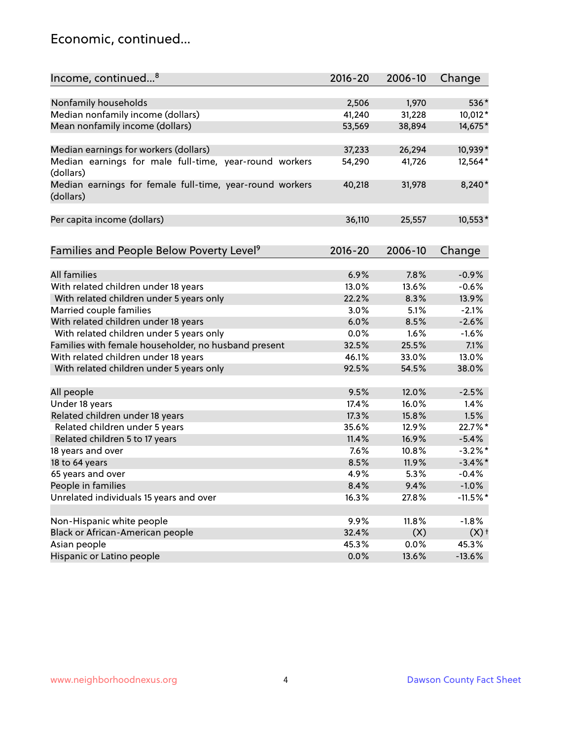### Economic, continued...

| Income, continued <sup>8</sup>                                        | $2016 - 20$ | 2006-10 | Change             |
|-----------------------------------------------------------------------|-------------|---------|--------------------|
|                                                                       |             |         |                    |
| Nonfamily households                                                  | 2,506       | 1,970   | 536*               |
| Median nonfamily income (dollars)                                     | 41,240      | 31,228  | 10,012*            |
| Mean nonfamily income (dollars)                                       | 53,569      | 38,894  | 14,675*            |
| Median earnings for workers (dollars)                                 | 37,233      | 26,294  | 10,939*            |
| Median earnings for male full-time, year-round workers                | 54,290      | 41,726  | 12,564*            |
| (dollars)                                                             |             |         |                    |
| Median earnings for female full-time, year-round workers<br>(dollars) | 40,218      | 31,978  | 8,240*             |
| Per capita income (dollars)                                           | 36,110      | 25,557  | 10,553*            |
|                                                                       |             |         |                    |
| Families and People Below Poverty Level <sup>9</sup>                  | $2016 - 20$ | 2006-10 | Change             |
|                                                                       |             |         |                    |
| <b>All families</b>                                                   | 6.9%        | 7.8%    | $-0.9%$            |
| With related children under 18 years                                  | 13.0%       | 13.6%   | $-0.6%$            |
| With related children under 5 years only                              | 22.2%       | 8.3%    | 13.9%              |
| Married couple families                                               | 3.0%        | 5.1%    | $-2.1%$            |
| With related children under 18 years                                  | 6.0%        | 8.5%    | $-2.6%$            |
| With related children under 5 years only                              | 0.0%        | 1.6%    | $-1.6%$            |
| Families with female householder, no husband present                  | 32.5%       | 25.5%   | 7.1%               |
| With related children under 18 years                                  | 46.1%       | 33.0%   | 13.0%              |
| With related children under 5 years only                              | 92.5%       | 54.5%   | 38.0%              |
|                                                                       | 9.5%        | 12.0%   | $-2.5%$            |
| All people                                                            |             | 16.0%   | 1.4%               |
| Under 18 years                                                        | 17.4%       |         |                    |
| Related children under 18 years                                       | 17.3%       | 15.8%   | 1.5%               |
| Related children under 5 years                                        | 35.6%       | 12.9%   | 22.7%*             |
| Related children 5 to 17 years                                        | 11.4%       | 16.9%   | $-5.4%$            |
| 18 years and over                                                     | 7.6%        | 10.8%   | $-3.2%$ *          |
| 18 to 64 years                                                        | 8.5%        | 11.9%   | $-3.4\%$ *         |
| 65 years and over                                                     | 4.9%        | 5.3%    | $-0.4%$            |
| People in families                                                    | 8.4%        | 9.4%    | $-1.0%$            |
| Unrelated individuals 15 years and over                               | 16.3%       | 27.8%   | $-11.5%$ *         |
| Non-Hispanic white people                                             | 9.9%        | 11.8%   | $-1.8%$            |
| Black or African-American people                                      | 32.4%       | (X)     | $(X)$ <sup>+</sup> |
| Asian people                                                          | 45.3%       | 0.0%    | 45.3%              |
| Hispanic or Latino people                                             | 0.0%        |         |                    |
|                                                                       |             | 13.6%   | $-13.6%$           |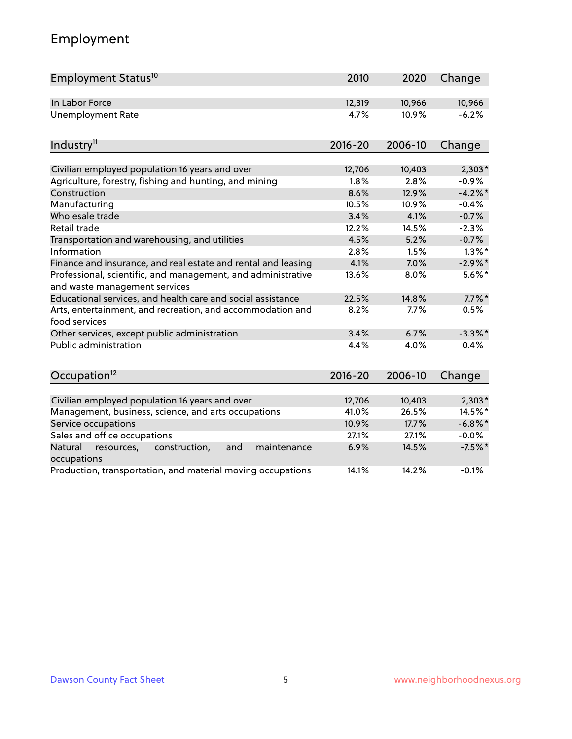## Employment

| Employment Status <sup>10</sup>                                                                       | 2010            | 2020    | Change     |
|-------------------------------------------------------------------------------------------------------|-----------------|---------|------------|
| In Labor Force                                                                                        | 12,319          | 10,966  | 10,966     |
| <b>Unemployment Rate</b>                                                                              | 4.7%            | 10.9%   | $-6.2%$    |
| Industry <sup>11</sup>                                                                                | $2016 - 20$     | 2006-10 | Change     |
| Civilian employed population 16 years and over                                                        | 12,706          | 10,403  | $2,303*$   |
| Agriculture, forestry, fishing and hunting, and mining                                                | 1.8%            | 2.8%    | $-0.9%$    |
| Construction                                                                                          | 8.6%            | 12.9%   | $-4.2%$    |
| Manufacturing                                                                                         | 10.5%           | 10.9%   | $-0.4%$    |
| Wholesale trade                                                                                       | 3.4%            | 4.1%    | $-0.7%$    |
| Retail trade                                                                                          | 12.2%           | 14.5%   | $-2.3%$    |
| Transportation and warehousing, and utilities                                                         | 4.5%            | 5.2%    | $-0.7%$    |
| Information                                                                                           | 2.8%            | 1.5%    | $1.3\%$ *  |
| Finance and insurance, and real estate and rental and leasing                                         | 4.1%            | 7.0%    | $-2.9\%$ * |
| Professional, scientific, and management, and administrative<br>and waste management services         | 13.6%           | 8.0%    | $5.6\%$ *  |
| Educational services, and health care and social assistance                                           | 22.5%           | 14.8%   | $7.7\%$ *  |
| Arts, entertainment, and recreation, and accommodation and<br>food services                           | 8.2%            | 7.7%    | 0.5%       |
| Other services, except public administration                                                          | 3.4%            | 6.7%    | $-3.3\%$ * |
| <b>Public administration</b>                                                                          | 4.4%            | 4.0%    | 0.4%       |
| Occupation <sup>12</sup>                                                                              | $2016 - 20$     | 2006-10 | Change     |
|                                                                                                       |                 | 10,403  | $2,303*$   |
| Civilian employed population 16 years and over<br>Management, business, science, and arts occupations | 12,706<br>41.0% | 26.5%   | 14.5%*     |
| Service occupations                                                                                   | 10.9%           | 17.7%   | $-6.8\%$ * |
| Sales and office occupations                                                                          | 27.1%           | 27.1%   | $-0.0%$    |
| Natural<br>resources,<br>construction,<br>and<br>maintenance                                          | 6.9%            | 14.5%   | $-7.5%$ *  |
| occupations                                                                                           |                 |         |            |
| Production, transportation, and material moving occupations                                           | 14.1%           | 14.2%   | $-0.1%$    |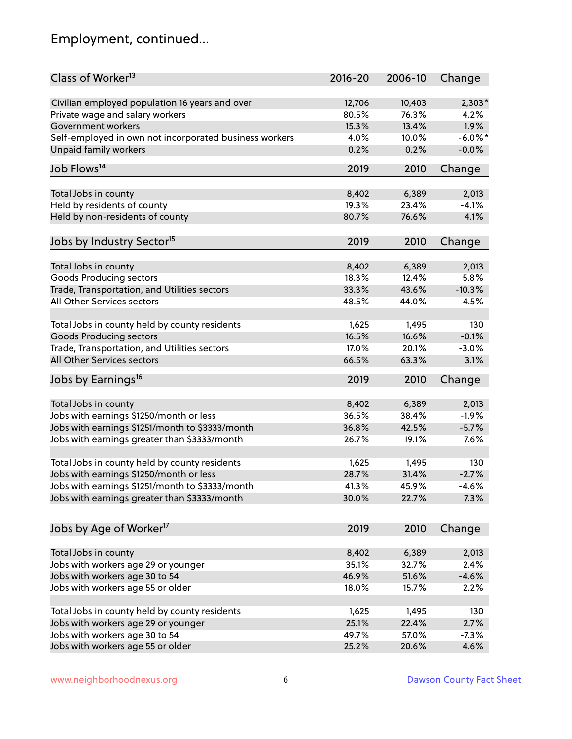## Employment, continued...

| Class of Worker <sup>13</sup>                          | $2016 - 20$ | 2006-10 | Change     |
|--------------------------------------------------------|-------------|---------|------------|
| Civilian employed population 16 years and over         | 12,706      | 10,403  | 2,303*     |
| Private wage and salary workers                        | 80.5%       | 76.3%   | 4.2%       |
| Government workers                                     | 15.3%       | 13.4%   | 1.9%       |
| Self-employed in own not incorporated business workers | 4.0%        | 10.0%   | $-6.0\%$ * |
| <b>Unpaid family workers</b>                           | 0.2%        | 0.2%    | $-0.0%$    |
| Job Flows <sup>14</sup>                                | 2019        | 2010    | Change     |
| Total Jobs in county                                   | 8,402       | 6,389   | 2,013      |
| Held by residents of county                            | 19.3%       | 23.4%   | $-4.1%$    |
| Held by non-residents of county                        | 80.7%       | 76.6%   | 4.1%       |
|                                                        |             |         |            |
| Jobs by Industry Sector <sup>15</sup>                  | 2019        | 2010    | Change     |
| Total Jobs in county                                   | 8,402       | 6,389   | 2,013      |
| Goods Producing sectors                                | 18.3%       | 12.4%   | 5.8%       |
| Trade, Transportation, and Utilities sectors           | 33.3%       | 43.6%   | $-10.3%$   |
| All Other Services sectors                             | 48.5%       | 44.0%   | 4.5%       |
|                                                        |             |         |            |
| Total Jobs in county held by county residents          | 1,625       | 1,495   | 130        |
| <b>Goods Producing sectors</b>                         | 16.5%       | 16.6%   | $-0.1%$    |
| Trade, Transportation, and Utilities sectors           | 17.0%       | 20.1%   | $-3.0%$    |
| All Other Services sectors                             | 66.5%       | 63.3%   | 3.1%       |
| Jobs by Earnings <sup>16</sup>                         | 2019        | 2010    | Change     |
| Total Jobs in county                                   | 8,402       | 6,389   | 2,013      |
| Jobs with earnings \$1250/month or less                | 36.5%       | 38.4%   | $-1.9%$    |
| Jobs with earnings \$1251/month to \$3333/month        | 36.8%       | 42.5%   | $-5.7%$    |
| Jobs with earnings greater than \$3333/month           | 26.7%       | 19.1%   | 7.6%       |
|                                                        |             |         |            |
| Total Jobs in county held by county residents          | 1,625       | 1,495   | 130        |
| Jobs with earnings \$1250/month or less                | 28.7%       | 31.4%   | $-2.7%$    |
| Jobs with earnings \$1251/month to \$3333/month        | 41.3%       | 45.9%   | -4.6%      |
| Jobs with earnings greater than \$3333/month           | 30.0%       | 22.7%   | 7.3%       |
| Jobs by Age of Worker <sup>17</sup>                    | 2019        | 2010    | Change     |
|                                                        |             |         |            |
| Total Jobs in county                                   | 8,402       | 6,389   | 2,013      |
| Jobs with workers age 29 or younger                    | 35.1%       | 32.7%   | 2.4%       |
| Jobs with workers age 30 to 54                         | 46.9%       | 51.6%   | $-4.6%$    |
| Jobs with workers age 55 or older                      | 18.0%       | 15.7%   | 2.2%       |
| Total Jobs in county held by county residents          | 1,625       | 1,495   | 130        |
| Jobs with workers age 29 or younger                    | 25.1%       | 22.4%   | 2.7%       |
| Jobs with workers age 30 to 54                         | 49.7%       | 57.0%   | $-7.3%$    |
| Jobs with workers age 55 or older                      | 25.2%       | 20.6%   | 4.6%       |
|                                                        |             |         |            |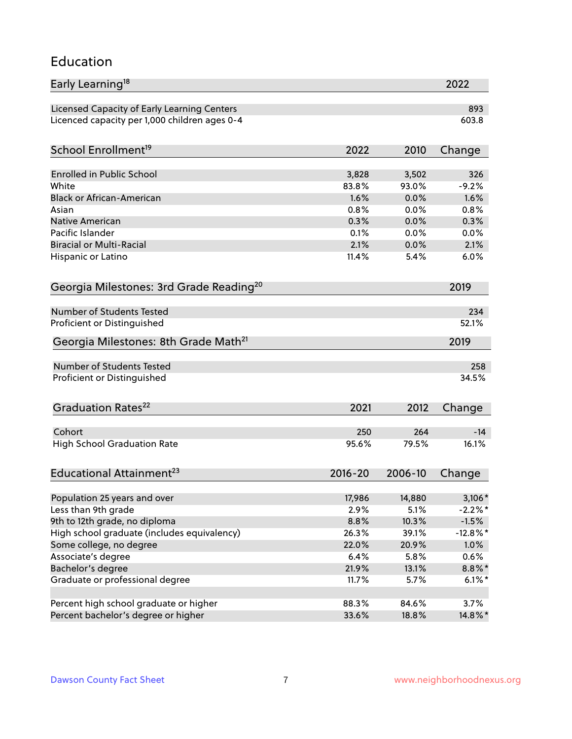#### Education

| Early Learning <sup>18</sup>                        |             |              | 2022           |
|-----------------------------------------------------|-------------|--------------|----------------|
| Licensed Capacity of Early Learning Centers         |             |              | 893            |
| Licenced capacity per 1,000 children ages 0-4       |             |              | 603.8          |
|                                                     |             |              |                |
| School Enrollment <sup>19</sup>                     | 2022        | 2010         | Change         |
| Enrolled in Public School                           | 3,828       | 3,502        | 326            |
| White                                               | 83.8%       | 93.0%        | $-9.2%$        |
| <b>Black or African-American</b>                    | 1.6%        | 0.0%         | 1.6%           |
| Asian                                               | 0.8%        | 0.0%         | 0.8%           |
| <b>Native American</b>                              | 0.3%        | 0.0%         | 0.3%           |
| Pacific Islander                                    | 0.1%        | 0.0%         | 0.0%           |
| <b>Biracial or Multi-Racial</b>                     | 2.1%        | 0.0%         | 2.1%           |
| Hispanic or Latino                                  | 11.4%       | 5.4%         | 6.0%           |
| Georgia Milestones: 3rd Grade Reading <sup>20</sup> |             |              | 2019           |
|                                                     |             |              |                |
| Number of Students Tested                           |             |              | 234            |
| Proficient or Distinguished                         |             |              | 52.1%          |
| Georgia Milestones: 8th Grade Math <sup>21</sup>    |             |              | 2019           |
| Number of Students Tested                           |             |              | 258            |
| Proficient or Distinguished                         |             |              | 34.5%          |
|                                                     |             |              |                |
| Graduation Rates <sup>22</sup>                      | 2021        | 2012         | Change         |
|                                                     |             |              |                |
| Cohort                                              | 250         | 264<br>79.5% | $-14$<br>16.1% |
| <b>High School Graduation Rate</b>                  | 95.6%       |              |                |
| Educational Attainment <sup>23</sup>                | $2016 - 20$ | 2006-10      | Change         |
|                                                     |             |              |                |
| Population 25 years and over                        | 17,986      | 14,880       | $3,106*$       |
| Less than 9th grade                                 | 2.9%        | 5.1%         | $-2.2%$ *      |
| 9th to 12th grade, no diploma                       | 8.8%        | 10.3%        | $-1.5%$        |
| High school graduate (includes equivalency)         | 26.3%       | 39.1%        | $-12.8\%$ *    |
| Some college, no degree                             | 22.0%       | 20.9%        | 1.0%           |
| Associate's degree                                  | 6.4%        | 5.8%         | 0.6%           |
| Bachelor's degree                                   | 21.9%       | 13.1%        | 8.8%*          |
| Graduate or professional degree                     | 11.7%       | 5.7%         | $6.1\%$ *      |
| Percent high school graduate or higher              | 88.3%       | 84.6%        | 3.7%           |
| Percent bachelor's degree or higher                 | 33.6%       | 18.8%        | 14.8%*         |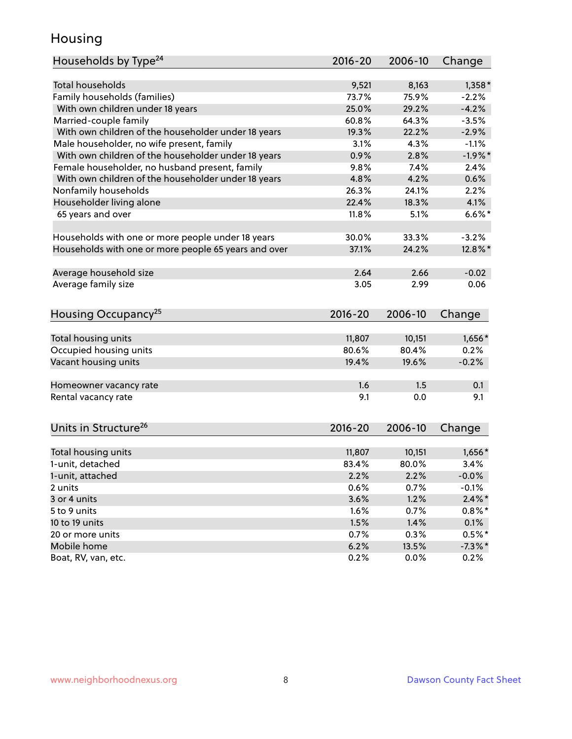### Housing

| Households by Type <sup>24</sup>                     | 2016-20     | 2006-10 | Change     |
|------------------------------------------------------|-------------|---------|------------|
|                                                      |             |         |            |
| <b>Total households</b>                              | 9,521       | 8,163   | $1,358*$   |
| Family households (families)                         | 73.7%       | 75.9%   | $-2.2%$    |
| With own children under 18 years                     | 25.0%       | 29.2%   | $-4.2%$    |
| Married-couple family                                | 60.8%       | 64.3%   | $-3.5%$    |
| With own children of the householder under 18 years  | 19.3%       | 22.2%   | $-2.9%$    |
| Male householder, no wife present, family            | 3.1%        | 4.3%    | $-1.1%$    |
| With own children of the householder under 18 years  | 0.9%        | 2.8%    | $-1.9%$ *  |
| Female householder, no husband present, family       | 9.8%        | 7.4%    | 2.4%       |
| With own children of the householder under 18 years  | 4.8%        | 4.2%    | 0.6%       |
| Nonfamily households                                 | 26.3%       | 24.1%   | 2.2%       |
| Householder living alone                             | 22.4%       | 18.3%   | 4.1%       |
| 65 years and over                                    | 11.8%       | 5.1%    | $6.6\%$ *  |
|                                                      | 30.0%       | 33.3%   | $-3.2%$    |
| Households with one or more people under 18 years    |             |         |            |
| Households with one or more people 65 years and over | 37.1%       | 24.2%   | 12.8%*     |
| Average household size                               | 2.64        | 2.66    | $-0.02$    |
| Average family size                                  | 3.05        | 2.99    | 0.06       |
|                                                      |             |         |            |
| Housing Occupancy <sup>25</sup>                      | $2016 - 20$ | 2006-10 | Change     |
| Total housing units                                  | 11,807      | 10,151  | 1,656*     |
| Occupied housing units                               | 80.6%       | 80.4%   | 0.2%       |
| Vacant housing units                                 | 19.4%       | 19.6%   | $-0.2%$    |
|                                                      |             |         |            |
| Homeowner vacancy rate                               | 1.6         | 1.5     | 0.1        |
| Rental vacancy rate                                  | 9.1         | 0.0     | 9.1        |
|                                                      |             |         |            |
| Units in Structure <sup>26</sup>                     | 2016-20     | 2006-10 | Change     |
| Total housing units                                  | 11,807      | 10,151  | 1,656*     |
| 1-unit, detached                                     | 83.4%       | 80.0%   | 3.4%       |
| 1-unit, attached                                     | 2.2%        | 2.2%    | $-0.0%$    |
| 2 units                                              | 0.6%        | 0.7%    | $-0.1%$    |
| 3 or 4 units                                         | 3.6%        | 1.2%    | $2.4\%$ *  |
| 5 to 9 units                                         | 1.6%        | 0.7%    | $0.8\%$ *  |
| 10 to 19 units                                       | 1.5%        | 1.4%    | 0.1%       |
| 20 or more units                                     | 0.7%        | 0.3%    | $0.5%$ *   |
| Mobile home                                          | 6.2%        | 13.5%   | $-7.3\%$ * |
| Boat, RV, van, etc.                                  | 0.2%        | 0.0%    | 0.2%       |
|                                                      |             |         |            |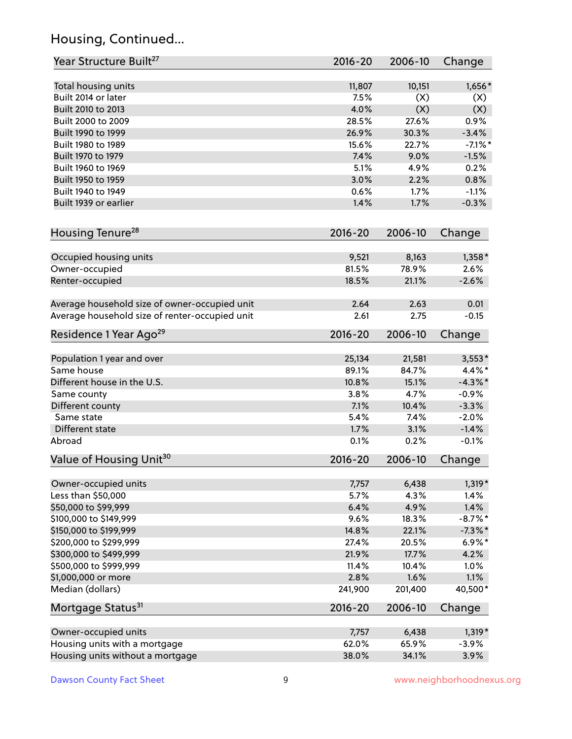## Housing, Continued...

| Year Structure Built <sup>27</sup>             | 2016-20     | 2006-10 | Change     |
|------------------------------------------------|-------------|---------|------------|
| Total housing units                            | 11,807      | 10,151  | $1,656*$   |
| Built 2014 or later                            | 7.5%        | (X)     | (X)        |
| Built 2010 to 2013                             | 4.0%        | (X)     | (X)        |
| Built 2000 to 2009                             | 28.5%       | 27.6%   | 0.9%       |
| Built 1990 to 1999                             | 26.9%       | 30.3%   | $-3.4%$    |
| Built 1980 to 1989                             | 15.6%       | 22.7%   | $-7.1\%$ * |
| Built 1970 to 1979                             | 7.4%        | 9.0%    | $-1.5%$    |
| Built 1960 to 1969                             | 5.1%        | 4.9%    | 0.2%       |
| Built 1950 to 1959                             | 3.0%        | 2.2%    | 0.8%       |
| Built 1940 to 1949                             | 0.6%        | 1.7%    | $-1.1%$    |
| Built 1939 or earlier                          | 1.4%        | 1.7%    | $-0.3%$    |
| Housing Tenure <sup>28</sup>                   | $2016 - 20$ | 2006-10 | Change     |
|                                                |             |         |            |
| Occupied housing units                         | 9,521       | 8,163   | $1,358*$   |
| Owner-occupied                                 | 81.5%       | 78.9%   | 2.6%       |
| Renter-occupied                                | 18.5%       | 21.1%   | $-2.6%$    |
| Average household size of owner-occupied unit  | 2.64        | 2.63    | 0.01       |
| Average household size of renter-occupied unit | 2.61        | 2.75    | $-0.15$    |
| Residence 1 Year Ago <sup>29</sup>             | 2016-20     | 2006-10 | Change     |
| Population 1 year and over                     | 25,134      | 21,581  | $3,553*$   |
| Same house                                     | 89.1%       | 84.7%   | 4.4%*      |
| Different house in the U.S.                    | 10.8%       | 15.1%   | $-4.3\%$ * |
| Same county                                    | 3.8%        | 4.7%    | $-0.9%$    |
| Different county                               | 7.1%        | 10.4%   | $-3.3%$    |
| Same state                                     | 5.4%        | 7.4%    | $-2.0%$    |
| Different state                                | 1.7%        | 3.1%    | $-1.4%$    |
| Abroad                                         | 0.1%        | 0.2%    | $-0.1%$    |
|                                                |             |         |            |
| Value of Housing Unit <sup>30</sup>            | $2016 - 20$ | 2006-10 | Change     |
| Owner-occupied units                           | 7,757       | 6,438   | $1,319*$   |
| Less than \$50,000                             | 5.7%        | 4.3%    | 1.4%       |
| \$50,000 to \$99,999                           | 6.4%        | 4.9%    | 1.4%       |
| \$100,000 to \$149,999                         | 9.6%        | 18.3%   | $-8.7\%$ * |
| \$150,000 to \$199,999                         | 14.8%       | 22.1%   | $-7.3\%$ * |
| \$200,000 to \$299,999                         | 27.4%       | 20.5%   | $6.9\%*$   |
| \$300,000 to \$499,999                         | 21.9%       | 17.7%   | 4.2%       |
| \$500,000 to \$999,999                         | 11.4%       | 10.4%   | 1.0%       |
| \$1,000,000 or more                            | 2.8%        | 1.6%    | 1.1%       |
| Median (dollars)                               | 241,900     | 201,400 | 40,500*    |
| Mortgage Status <sup>31</sup>                  | $2016 - 20$ | 2006-10 | Change     |
| Owner-occupied units                           | 7,757       | 6,438   | $1,319*$   |
| Housing units with a mortgage                  | 62.0%       | 65.9%   | $-3.9%$    |
| Housing units without a mortgage               | 38.0%       | 34.1%   | 3.9%       |
|                                                |             |         |            |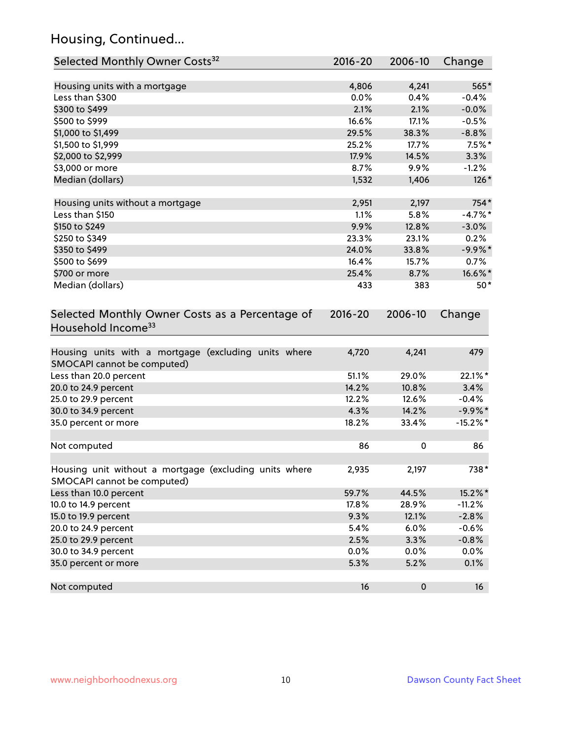## Housing, Continued...

| Selected Monthly Owner Costs <sup>32</sup>                                            | $2016 - 20$ | 2006-10   | Change      |
|---------------------------------------------------------------------------------------|-------------|-----------|-------------|
| Housing units with a mortgage                                                         | 4,806       | 4,241     | 565*        |
| Less than \$300                                                                       | 0.0%        | 0.4%      | $-0.4%$     |
| \$300 to \$499                                                                        | 2.1%        | 2.1%      | $-0.0%$     |
| \$500 to \$999                                                                        | 16.6%       | 17.1%     | $-0.5%$     |
| \$1,000 to \$1,499                                                                    | 29.5%       | 38.3%     | $-8.8%$     |
| \$1,500 to \$1,999                                                                    | 25.2%       | 17.7%     | $7.5\%$ *   |
| \$2,000 to \$2,999                                                                    | 17.9%       | 14.5%     | 3.3%        |
| \$3,000 or more                                                                       | 8.7%        | 9.9%      | $-1.2%$     |
| Median (dollars)                                                                      | 1,532       | 1,406     | $126*$      |
| Housing units without a mortgage                                                      | 2,951       | 2,197     | 754*        |
| Less than \$150                                                                       | 1.1%        | 5.8%      | $-4.7%$ *   |
| \$150 to \$249                                                                        | 9.9%        | 12.8%     | $-3.0%$     |
| \$250 to \$349                                                                        | 23.3%       | 23.1%     | 0.2%        |
| \$350 to \$499                                                                        | 24.0%       | 33.8%     | $-9.9%$ *   |
| \$500 to \$699                                                                        | 16.4%       | 15.7%     | 0.7%        |
| \$700 or more                                                                         | 25.4%       | 8.7%      | 16.6%*      |
| Median (dollars)                                                                      | 433         | 383       | $50*$       |
| Selected Monthly Owner Costs as a Percentage of<br>Household Income <sup>33</sup>     | $2016 - 20$ | 2006-10   | Change      |
| Housing units with a mortgage (excluding units where<br>SMOCAPI cannot be computed)   | 4,720       | 4,241     | 479         |
| Less than 20.0 percent                                                                | 51.1%       | 29.0%     | 22.1%*      |
| 20.0 to 24.9 percent                                                                  | 14.2%       | 10.8%     | 3.4%        |
| 25.0 to 29.9 percent                                                                  | 12.2%       | 12.6%     | $-0.4%$     |
| 30.0 to 34.9 percent                                                                  | 4.3%        | 14.2%     | $-9.9\%$ *  |
| 35.0 percent or more                                                                  | 18.2%       | 33.4%     | $-15.2\%$ * |
| Not computed                                                                          | 86          | 0         | 86          |
| Housing unit without a mortgage (excluding units where<br>SMOCAPI cannot be computed) | 2,935       | 2,197     | $738*$      |
| Less than 10.0 percent                                                                | 59.7%       | 44.5%     | 15.2%*      |
| 10.0 to 14.9 percent                                                                  | 17.8%       | 28.9%     | $-11.2%$    |
| 15.0 to 19.9 percent                                                                  | 9.3%        | 12.1%     | $-2.8%$     |
| 20.0 to 24.9 percent                                                                  | 5.4%        | 6.0%      | $-0.6%$     |
| 25.0 to 29.9 percent                                                                  | 2.5%        | 3.3%      | $-0.8%$     |
| 30.0 to 34.9 percent                                                                  | 0.0%        | 0.0%      | 0.0%        |
| 35.0 percent or more                                                                  | 5.3%        | 5.2%      | 0.1%        |
| Not computed                                                                          | 16          | $\pmb{0}$ | 16          |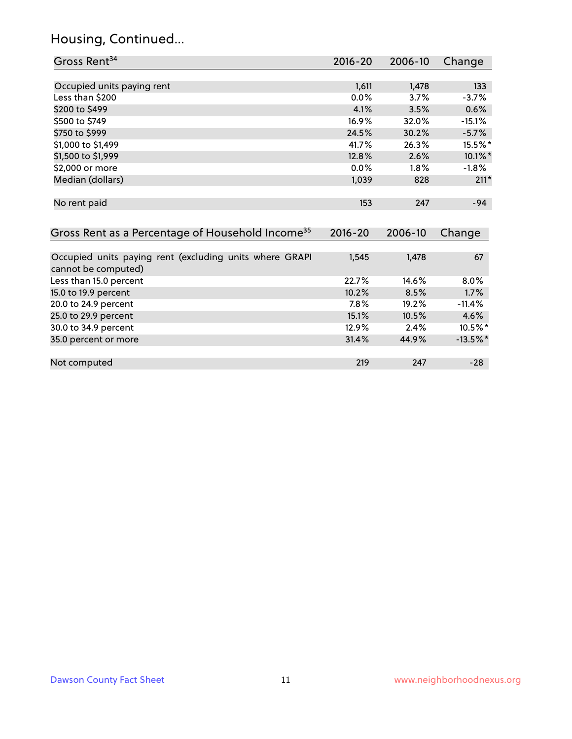## Housing, Continued...

| Gross Rent <sup>34</sup>                                                       | $2016 - 20$ | $2006 - 10$ | Change      |
|--------------------------------------------------------------------------------|-------------|-------------|-------------|
|                                                                                |             |             |             |
| Occupied units paying rent                                                     | 1,611       | 1,478       | 133         |
| Less than \$200                                                                | 0.0%        | 3.7%        | $-3.7%$     |
| \$200 to \$499                                                                 | 4.1%        | 3.5%        | 0.6%        |
| \$500 to \$749                                                                 | 16.9%       | 32.0%       | $-15.1%$    |
| \$750 to \$999                                                                 | 24.5%       | 30.2%       | $-5.7%$     |
| \$1,000 to \$1,499                                                             | 41.7%       | 26.3%       | 15.5%*      |
| \$1,500 to \$1,999                                                             | 12.8%       | 2.6%        | $10.1\%$ *  |
| \$2,000 or more                                                                | 0.0%        | 1.8%        | $-1.8%$     |
| Median (dollars)                                                               | 1,039       | 828         | $211*$      |
| No rent paid                                                                   | 153         | 247         | $-94$       |
| Gross Rent as a Percentage of Household Income <sup>35</sup>                   | $2016 - 20$ | 2006-10     | Change      |
| Occupied units paying rent (excluding units where GRAPI<br>cannot be computed) | 1,545       | 1,478       | 67          |
| Less than 15.0 percent                                                         | 22.7%       | 14.6%       | 8.0%        |
| 15.0 to 19.9 percent                                                           | 10.2%       | 8.5%        | 1.7%        |
| 20.0 to 24.9 percent                                                           | 7.8%        | 19.2%       | $-11.4%$    |
| 25.0 to 29.9 percent                                                           | 15.1%       | 10.5%       | 4.6%        |
| 30.0 to 34.9 percent                                                           | 12.9%       | 2.4%        | 10.5%*      |
| 35.0 percent or more                                                           | 31.4%       | 44.9%       | $-13.5\%$ * |
| Not computed                                                                   | 219         | 247         | $-28$       |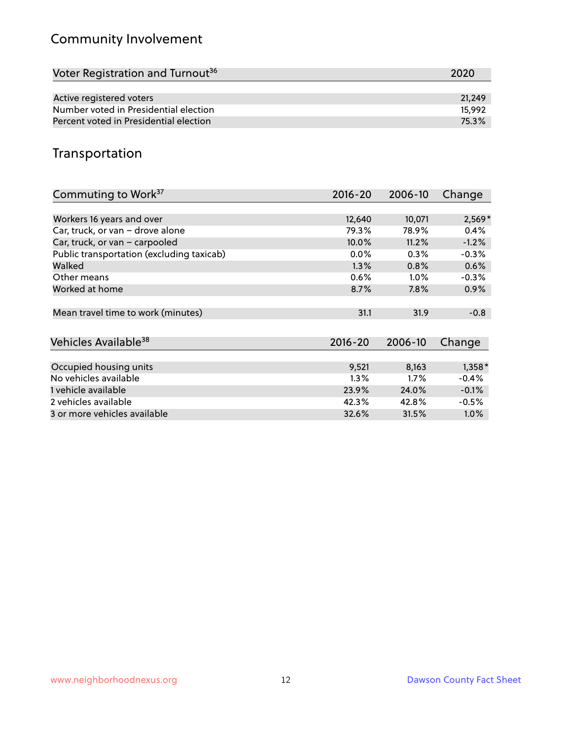## Community Involvement

| Voter Registration and Turnout <sup>36</sup> | 2020   |
|----------------------------------------------|--------|
|                                              |        |
| Active registered voters                     | 21.249 |
| Number voted in Presidential election        | 15.992 |
| Percent voted in Presidential election       | 75.3%  |

## Transportation

| Commuting to Work <sup>37</sup>           | $2016 - 20$ | 2006-10 | Change   |
|-------------------------------------------|-------------|---------|----------|
|                                           |             |         |          |
| Workers 16 years and over                 | 12,640      | 10,071  | $2,569*$ |
| Car, truck, or van - drove alone          | 79.3%       | 78.9%   | 0.4%     |
| Car, truck, or van - carpooled            | 10.0%       | 11.2%   | $-1.2%$  |
| Public transportation (excluding taxicab) | $0.0\%$     | $0.3\%$ | $-0.3%$  |
| Walked                                    | 1.3%        | 0.8%    | 0.6%     |
| Other means                               | $0.6\%$     | $1.0\%$ | $-0.3%$  |
| Worked at home                            | 8.7%        | 7.8%    | 0.9%     |
|                                           |             |         |          |
| Mean travel time to work (minutes)        | 31.1        | 31.9    | $-0.8$   |
|                                           |             |         |          |
| Vehicles Available <sup>38</sup>          | $2016 - 20$ | 2006-10 | Change   |
|                                           |             |         |          |
| Occupied housing units                    | 9,521       | 8,163   | $1,358*$ |
| No vehicles available                     | $1.3\%$     | $1.7\%$ | $-0.4%$  |
| 1 vehicle available                       | 23.9%       | 24.0%   | $-0.1%$  |
| 2 vehicles available                      | 42.3%       | 42.8%   | $-0.5%$  |
| 3 or more vehicles available              | 32.6%       | 31.5%   | $1.0\%$  |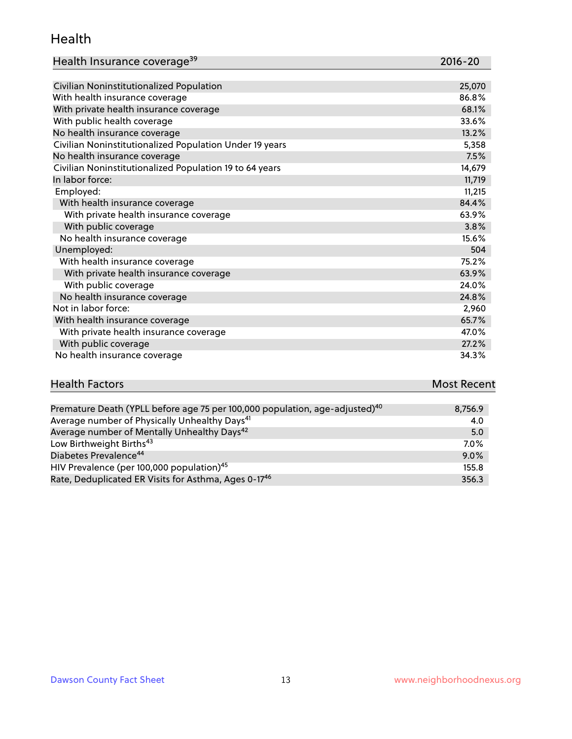#### Health

| Health Insurance coverage <sup>39</sup> | 2016-20 |
|-----------------------------------------|---------|
|-----------------------------------------|---------|

| Civilian Noninstitutionalized Population                | 25,070 |
|---------------------------------------------------------|--------|
| With health insurance coverage                          | 86.8%  |
| With private health insurance coverage                  | 68.1%  |
| With public health coverage                             | 33.6%  |
| No health insurance coverage                            | 13.2%  |
| Civilian Noninstitutionalized Population Under 19 years | 5,358  |
| No health insurance coverage                            | 7.5%   |
| Civilian Noninstitutionalized Population 19 to 64 years | 14,679 |
| In labor force:                                         | 11,719 |
| Employed:                                               | 11,215 |
| With health insurance coverage                          | 84.4%  |
| With private health insurance coverage                  | 63.9%  |
| With public coverage                                    | 3.8%   |
| No health insurance coverage                            | 15.6%  |
| Unemployed:                                             | 504    |
| With health insurance coverage                          | 75.2%  |
| With private health insurance coverage                  | 63.9%  |
| With public coverage                                    | 24.0%  |
| No health insurance coverage                            | 24.8%  |
| Not in labor force:                                     | 2,960  |
| With health insurance coverage                          | 65.7%  |
| With private health insurance coverage                  | 47.0%  |
| With public coverage                                    | 27.2%  |
| No health insurance coverage                            | 34.3%  |

# **Health Factors Most Recent** And The Control of the Control of The Control of The Control of The Control of The Control of The Control of The Control of The Control of The Control of The Control of The Control of The Contr

| Premature Death (YPLL before age 75 per 100,000 population, age-adjusted) <sup>40</sup> | 8,756.9 |
|-----------------------------------------------------------------------------------------|---------|
| Average number of Physically Unhealthy Days <sup>41</sup>                               | 4.0     |
| Average number of Mentally Unhealthy Days <sup>42</sup>                                 | 5.0     |
| Low Birthweight Births <sup>43</sup>                                                    | $7.0\%$ |
| Diabetes Prevalence <sup>44</sup>                                                       | 9.0%    |
| HIV Prevalence (per 100,000 population) <sup>45</sup>                                   | 155.8   |
| Rate, Deduplicated ER Visits for Asthma, Ages 0-17 <sup>46</sup>                        | 356.3   |